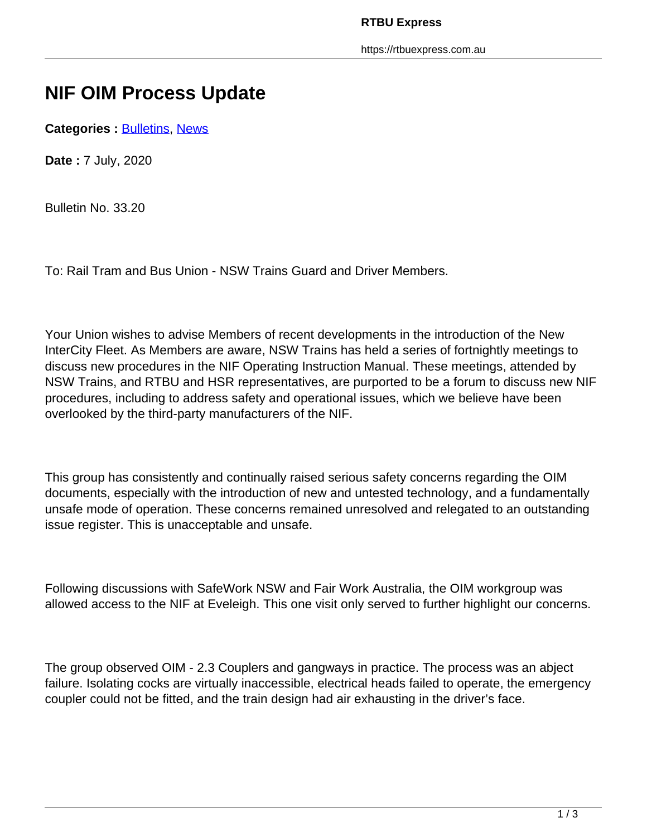https://rtbuexpress.com.au

## **NIF OIM Process Update**

**Categories : [Bulletins,](https://rtbuexpress.com.au/category/news/bulletins/) News** 

**Date :** 7 July, 2020

Bulletin No. 33.20

To: Rail Tram and Bus Union - NSW Trains Guard and Driver Members.

Your Union wishes to advise Members of recent developments in the introduction of the New InterCity Fleet. As Members are aware, NSW Trains has held a series of fortnightly meetings to discuss new procedures in the NIF Operating Instruction Manual. These meetings, attended by NSW Trains, and RTBU and HSR representatives, are purported to be a forum to discuss new NIF procedures, including to address safety and operational issues, which we believe have been overlooked by the third-party manufacturers of the NIF.

This group has consistently and continually raised serious safety concerns regarding the OIM documents, especially with the introduction of new and untested technology, and a fundamentally unsafe mode of operation. These concerns remained unresolved and relegated to an outstanding issue register. This is unacceptable and unsafe.

Following discussions with SafeWork NSW and Fair Work Australia, the OIM workgroup was allowed access to the NIF at Eveleigh. This one visit only served to further highlight our concerns.

The group observed OIM - 2.3 Couplers and gangways in practice. The process was an abject failure. Isolating cocks are virtually inaccessible, electrical heads failed to operate, the emergency coupler could not be fitted, and the train design had air exhausting in the driver's face.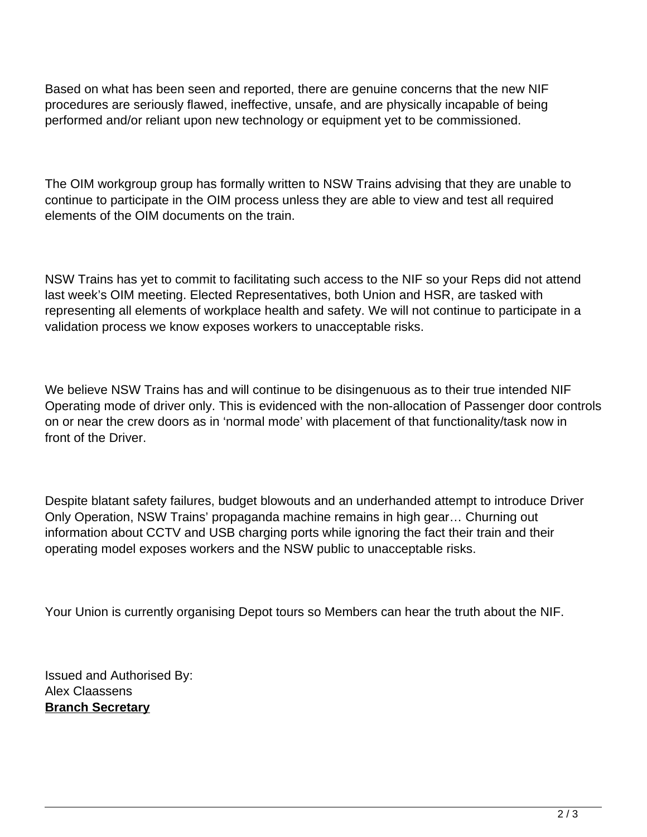Based on what has been seen and reported, there are genuine concerns that the new NIF procedures are seriously flawed, ineffective, unsafe, and are physically incapable of being performed and/or reliant upon new technology or equipment yet to be commissioned.

The OIM workgroup group has formally written to NSW Trains advising that they are unable to continue to participate in the OIM process unless they are able to view and test all required elements of the OIM documents on the train.

NSW Trains has yet to commit to facilitating such access to the NIF so your Reps did not attend last week's OIM meeting. Elected Representatives, both Union and HSR, are tasked with representing all elements of workplace health and safety. We will not continue to participate in a validation process we know exposes workers to unacceptable risks.

We believe NSW Trains has and will continue to be disingenuous as to their true intended NIF Operating mode of driver only. This is evidenced with the non-allocation of Passenger door controls on or near the crew doors as in 'normal mode' with placement of that functionality/task now in front of the Driver.

Despite blatant safety failures, budget blowouts and an underhanded attempt to introduce Driver Only Operation, NSW Trains' propaganda machine remains in high gear… Churning out information about CCTV and USB charging ports while ignoring the fact their train and their operating model exposes workers and the NSW public to unacceptable risks.

Your Union is currently organising Depot tours so Members can hear the truth about the NIF.

Issued and Authorised By: Alex Claassens **Branch Secretary**